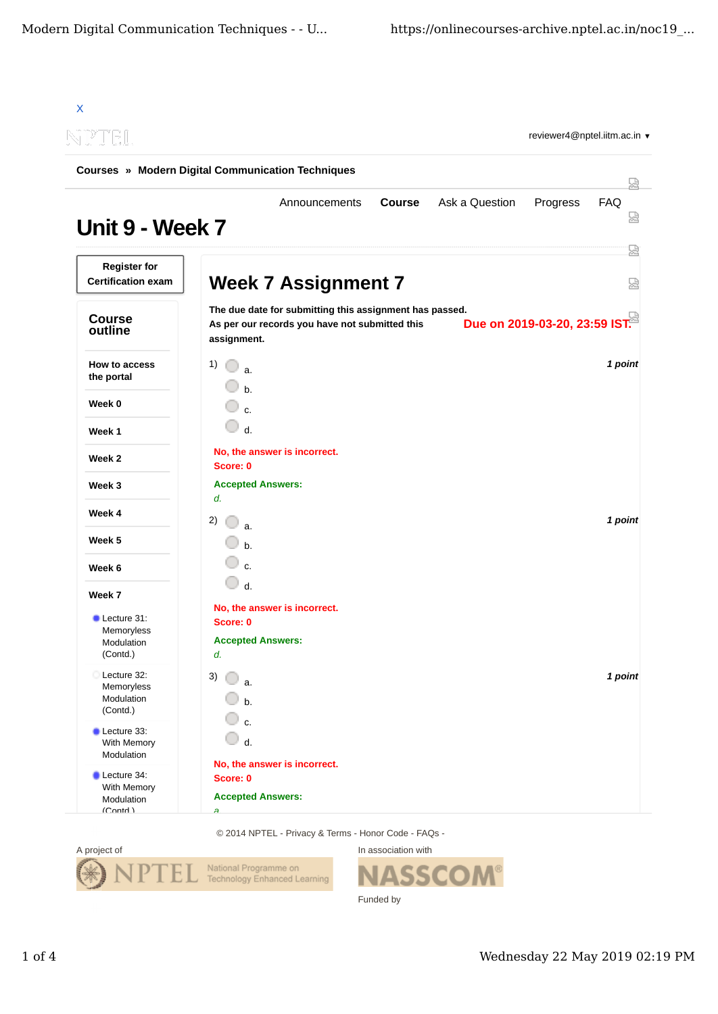| IPTNEIL                                                  | reviewer4@nptel.iitm.ac.in ▼                                                                                                                              |          |  |  |
|----------------------------------------------------------|-----------------------------------------------------------------------------------------------------------------------------------------------------------|----------|--|--|
| <b>Courses » Modern Digital Communication Techniques</b> |                                                                                                                                                           |          |  |  |
| Unit 9 - Week 7                                          | Ask a Question<br>Announcements<br><b>Course</b><br>Progress                                                                                              | FAQ<br>Ы |  |  |
| <b>Register for</b><br><b>Certification exam</b>         | <b>Week 7 Assignment 7</b>                                                                                                                                | 圀        |  |  |
| <b>Course</b><br>outline                                 | The due date for submitting this assignment has passed.<br>Due on 2019-03-20, 23:59 IST.<br>As per our records you have not submitted this<br>assignment. |          |  |  |
| <b>How to access</b><br>the portal                       | 1)<br>$\left( \begin{array}{c} \end{array} \right)$<br>a.<br>$h$ .                                                                                        | 1 point  |  |  |
| Week 0                                                   | $\mathbf{c}$ .                                                                                                                                            |          |  |  |
| Week 1                                                   | 0<br>d.                                                                                                                                                   |          |  |  |
| Week 2                                                   | No, the answer is incorrect.<br>Score: 0                                                                                                                  |          |  |  |
| Week 3                                                   | <b>Accepted Answers:</b>                                                                                                                                  |          |  |  |
| Week 4                                                   | d.<br>2)                                                                                                                                                  | 1 point  |  |  |
| Week 5                                                   | a.<br>$b$                                                                                                                                                 |          |  |  |
| Week 6                                                   | $\mathbf{c}$                                                                                                                                              |          |  |  |
| Week 7                                                   | 0<br>d.                                                                                                                                                   |          |  |  |
| Lecture 31:<br>Memoryless<br>Modulation<br>(Contd.)      | No, the answer is incorrect.<br>Score: 0<br><b>Accepted Answers:</b><br>d.                                                                                |          |  |  |
| Lecture 32:<br>Memoryless<br>Modulation<br>(Contd.)      | 3)<br>a.<br>$b$                                                                                                                                           | 1 point  |  |  |
| Lecture 33:<br>With Memory<br>Modulation                 | c.<br>d.                                                                                                                                                  |          |  |  |
| Lecture 34:<br>With Memory<br>Modulation                 | No, the answer is incorrect.<br>Score: 0<br><b>Accepted Answers:</b>                                                                                      |          |  |  |

© 2014 NPTEL - Privacy & Terms - Honor Code - FAQs -



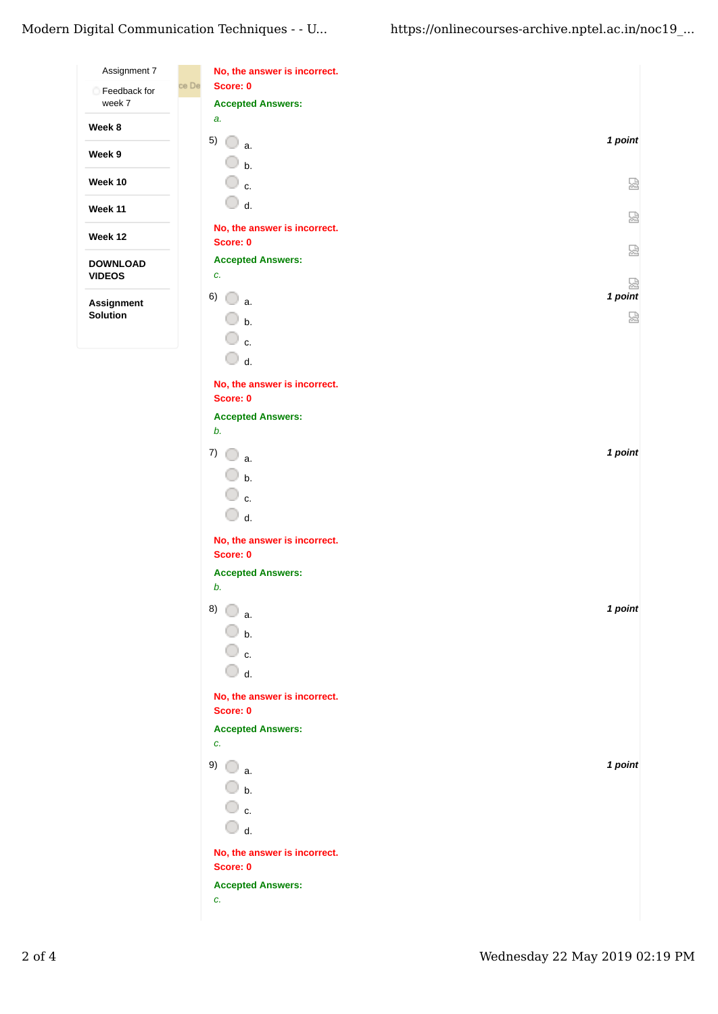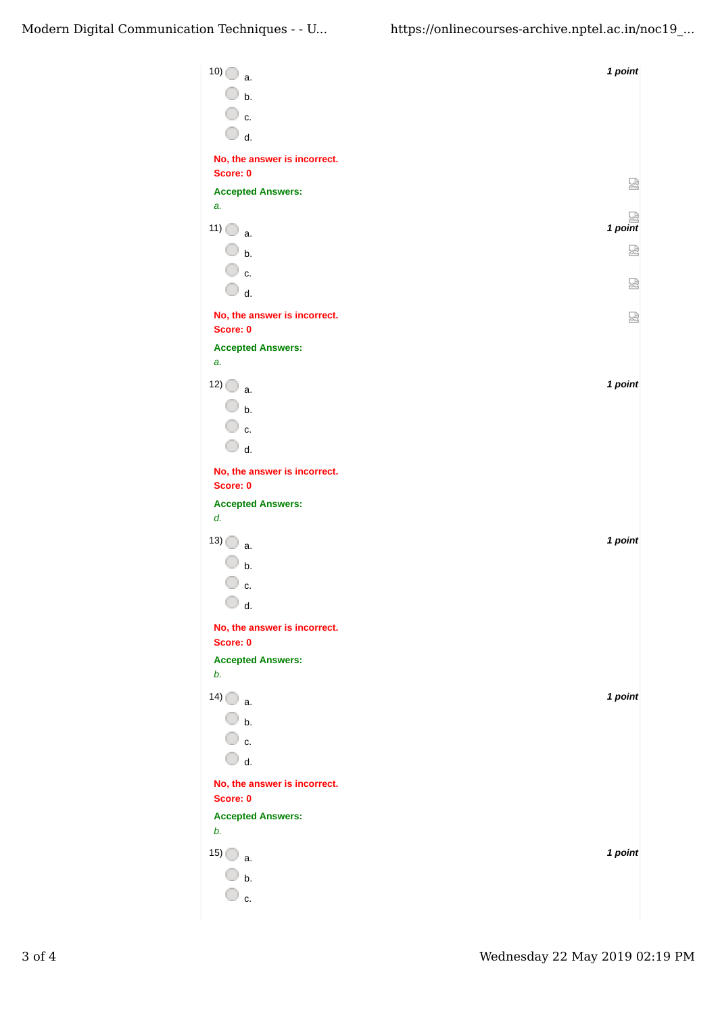| 10)<br>a.                                | 1 point |
|------------------------------------------|---------|
| $\overline{\mathbb{O}}$ b.               |         |
| $\overline{\mathbb{O}}$ c.               |         |
| $\bigcirc$ d.                            |         |
| No, the answer is incorrect.             |         |
| Score: 0                                 | 썮       |
| <b>Accepted Answers:</b><br>a.           |         |
| 11)                                      | 1 point |
| a.<br>$\overline{\mathbb{O}}$ b.         | 덣       |
| ○ c.                                     |         |
| $\bigcirc$ d.                            | 덣       |
| No, the answer is incorrect.             | 눲       |
| Score: 0                                 |         |
| <b>Accepted Answers:</b>                 |         |
| a.                                       |         |
| 12)<br>a.                                | 1 point |
| $\bigcirc$ b.                            |         |
| ○ c.                                     |         |
| $\bigcirc$ d.                            |         |
| No, the answer is incorrect.<br>Score: 0 |         |
| <b>Accepted Answers:</b>                 |         |
| d.                                       |         |
| 13)<br>a.                                | 1 point |
| $\mathsf{b}$ .                           |         |
| c.                                       |         |
| O<br>d.                                  |         |
| No, the answer is incorrect.<br>Score: 0 |         |
| <b>Accepted Answers:</b>                 |         |
| b.                                       |         |
| 14)<br>a.                                | 1 point |
| $\bigcirc$ b.                            |         |
| ◯ c.                                     |         |
| $\overline{\mathbb{O}}$ d.               |         |
| No, the answer is incorrect.<br>Score: 0 |         |
| <b>Accepted Answers:</b>                 |         |
| b.                                       |         |
| 15)<br>a.                                | 1 point |
| b.                                       |         |
| $\overline{\phantom{a}}$ c.              |         |